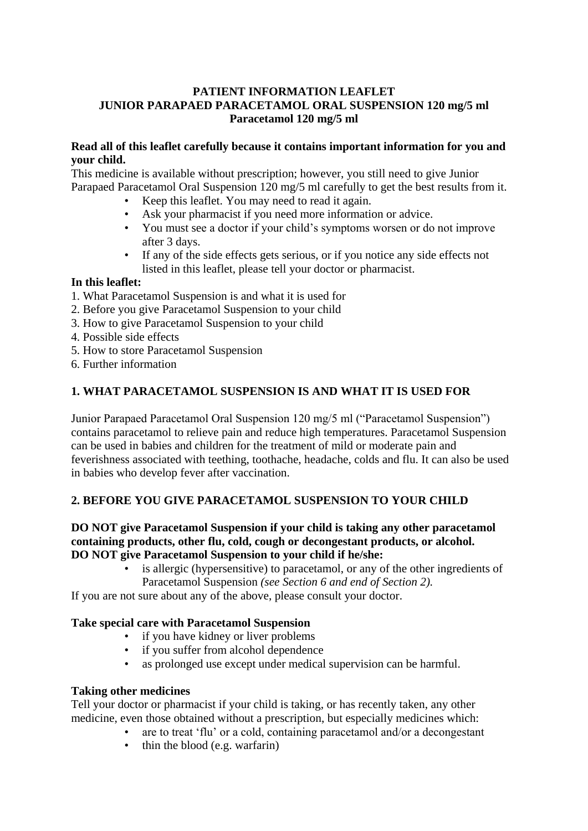#### **PATIENT INFORMATION LEAFLET JUNIOR PARAPAED PARACETAMOL ORAL SUSPENSION 120 mg/5 ml Paracetamol 120 mg/5 ml**

#### **Read all of this leaflet carefully because it contains important information for you and your child.**

This medicine is available without prescription; however, you still need to give Junior Parapaed Paracetamol Oral Suspension 120 mg/5 ml carefully to get the best results from it.

- Keep this leaflet. You may need to read it again.
- Ask your pharmacist if you need more information or advice.
- You must see a doctor if your child's symptoms worsen or do not improve after 3 days.
- If any of the side effects gets serious, or if you notice any side effects not listed in this leaflet, please tell your doctor or pharmacist.

#### **In this leaflet:**

- 1. What Paracetamol Suspension is and what it is used for
- 2. Before you give Paracetamol Suspension to your child
- 3. How to give Paracetamol Suspension to your child
- 4. Possible side effects
- 5. How to store Paracetamol Suspension
- 6. Further information

### **1. WHAT PARACETAMOL SUSPENSION IS AND WHAT IT IS USED FOR**

Junior Parapaed Paracetamol Oral Suspension 120 mg/5 ml ("Paracetamol Suspension") contains paracetamol to relieve pain and reduce high temperatures. Paracetamol Suspension can be used in babies and children for the treatment of mild or moderate pain and feverishness associated with teething, toothache, headache, colds and flu. It can also be used in babies who develop fever after vaccination.

### **2. BEFORE YOU GIVE PARACETAMOL SUSPENSION TO YOUR CHILD**

#### **DO NOT give Paracetamol Suspension if your child is taking any other paracetamol containing products, other flu, cold, cough or decongestant products, or alcohol. DO NOT give Paracetamol Suspension to your child if he/she:**

is allergic (hypersensitive) to paracetamol, or any of the other ingredients of Paracetamol Suspension *(see Section 6 and end of Section 2).*

If you are not sure about any of the above, please consult your doctor.

### **Take special care with Paracetamol Suspension**

- if you have kidney or liver problems
- if you suffer from alcohol dependence
- as prolonged use except under medical supervision can be harmful.

#### **Taking other medicines**

Tell your doctor or pharmacist if your child is taking, or has recently taken, any other medicine, even those obtained without a prescription, but especially medicines which:

- are to treat 'flu' or a cold, containing paracetamol and/or a decongestant
- thin the blood (e.g. warfarin)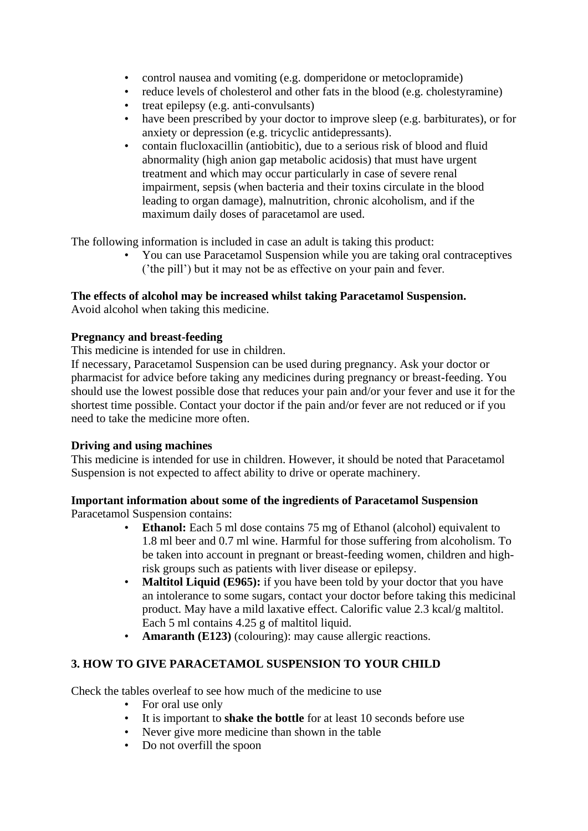- control nausea and vomiting (e.g. domperidone or metoclopramide)
- reduce levels of cholesterol and other fats in the blood (e.g. cholestyramine)
- treat epilepsy (e.g. anti-convulsants)
- have been prescribed by your doctor to improve sleep (e.g. barbiturates), or for anxiety or depression (e.g. tricyclic antidepressants).
- contain flucloxacillin (antiobitic), due to a serious risk of blood and fluid abnormality (high anion gap metabolic acidosis) that must have urgent treatment and which may occur particularly in case of severe renal impairment, sepsis (when bacteria and their toxins circulate in the blood leading to organ damage), malnutrition, chronic alcoholism, and if the maximum daily doses of paracetamol are used.

The following information is included in case an adult is taking this product:

• You can use Paracetamol Suspension while you are taking oral contraceptives ('the pill') but it may not be as effective on your pain and fever.

### **The effects of alcohol may be increased whilst taking Paracetamol Suspension.**

Avoid alcohol when taking this medicine.

#### **Pregnancy and breast-feeding**

This medicine is intended for use in children.

If necessary, Paracetamol Suspension can be used during pregnancy. Ask your doctor or pharmacist for advice before taking any medicines during pregnancy or breast-feeding. You should use the lowest possible dose that reduces your pain and/or your fever and use it for the shortest time possible. Contact your doctor if the pain and/or fever are not reduced or if you need to take the medicine more often.

### **Driving and using machines**

This medicine is intended for use in children. However, it should be noted that Paracetamol Suspension is not expected to affect ability to drive or operate machinery.

# **Important information about some of the ingredients of Paracetamol Suspension**

Paracetamol Suspension contains:

- **Ethanol:** Each 5 ml dose contains 75 mg of Ethanol (alcohol) equivalent to 1.8 ml beer and 0.7 ml wine. Harmful for those suffering from alcoholism. To be taken into account in pregnant or breast-feeding women, children and highrisk groups such as patients with liver disease or epilepsy.
- **Maltitol Liquid (E965):** if you have been told by your doctor that you have an intolerance to some sugars, contact your doctor before taking this medicinal product. May have a mild laxative effect. Calorific value 2.3 kcal/g maltitol. Each 5 ml contains 4.25 g of maltitol liquid.
- **Amaranth (E123)** (colouring): may cause allergic reactions.

# **3. HOW TO GIVE PARACETAMOL SUSPENSION TO YOUR CHILD**

Check the tables overleaf to see how much of the medicine to use

- For oral use only
- It is important to **shake the bottle** for at least 10 seconds before use
- Never give more medicine than shown in the table
- Do not overfill the spoon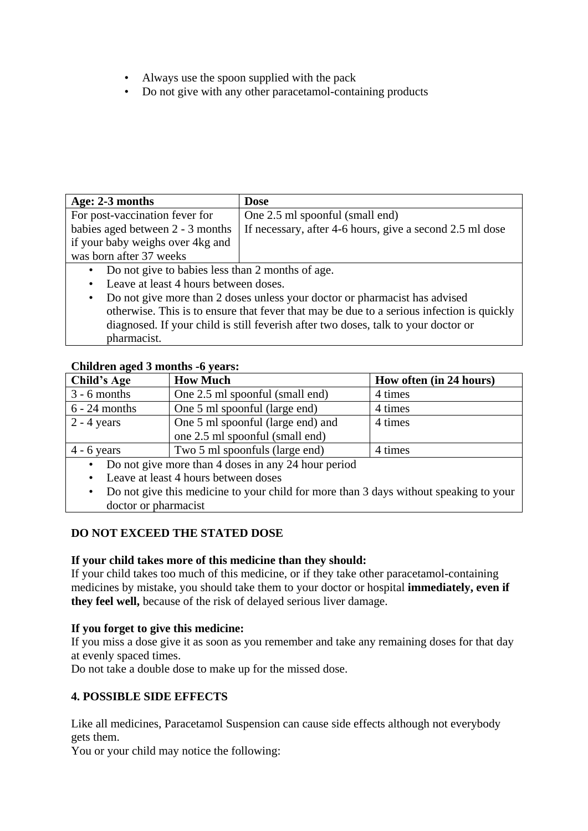- Always use the spoon supplied with the pack
- Do not give with any other paracetamol-containing products

| Age: 2-3 months                                  | <b>Dose</b>                                              |  |
|--------------------------------------------------|----------------------------------------------------------|--|
| For post-vaccination fever for                   | One 2.5 ml spoonful (small end)                          |  |
| babies aged between 2 - 3 months                 | If necessary, after 4-6 hours, give a second 2.5 ml dose |  |
| if your baby weighs over 4kg and                 |                                                          |  |
| was born after 37 weeks                          |                                                          |  |
| Do not give to babies less than 2 months of age. |                                                          |  |
|                                                  |                                                          |  |

- Leave at least 4 hours between doses.
- Do not give more than 2 doses unless your doctor or pharmacist has advised otherwise. This is to ensure that fever that may be due to a serious infection is quickly diagnosed. If your child is still feverish after two doses, talk to your doctor or pharmacist.

## **Children aged 3 months -6 years:**

| Child's Age                                         | <b>How Much</b>                   | How often (in 24 hours) |
|-----------------------------------------------------|-----------------------------------|-------------------------|
| $3 - 6$ months                                      | One 2.5 ml spoonful (small end)   | 4 times                 |
| $6 - 24$ months                                     | One 5 ml spoonful (large end)     | 4 times                 |
| $2 - 4$ years                                       | One 5 ml spoonful (large end) and | 4 times                 |
|                                                     | one 2.5 ml spoonful (small end)   |                         |
| $4 - 6$ years                                       | Two 5 ml spoonfuls (large end)    | 4 times                 |
| Do not give more than 4 doses in any 24 hour period |                                   |                         |

- Leave at least 4 hours between doses
- Do not give this medicine to your child for more than 3 days without speaking to your doctor or pharmacist

# **DO NOT EXCEED THE STATED DOSE**

### **If your child takes more of this medicine than they should:**

If your child takes too much of this medicine, or if they take other paracetamol-containing medicines by mistake, you should take them to your doctor or hospital **immediately, even if they feel well,** because of the risk of delayed serious liver damage.

### **If you forget to give this medicine:**

If you miss a dose give it as soon as you remember and take any remaining doses for that day at evenly spaced times.

Do not take a double dose to make up for the missed dose.

# **4. POSSIBLE SIDE EFFECTS**

Like all medicines, Paracetamol Suspension can cause side effects although not everybody gets them.

You or your child may notice the following: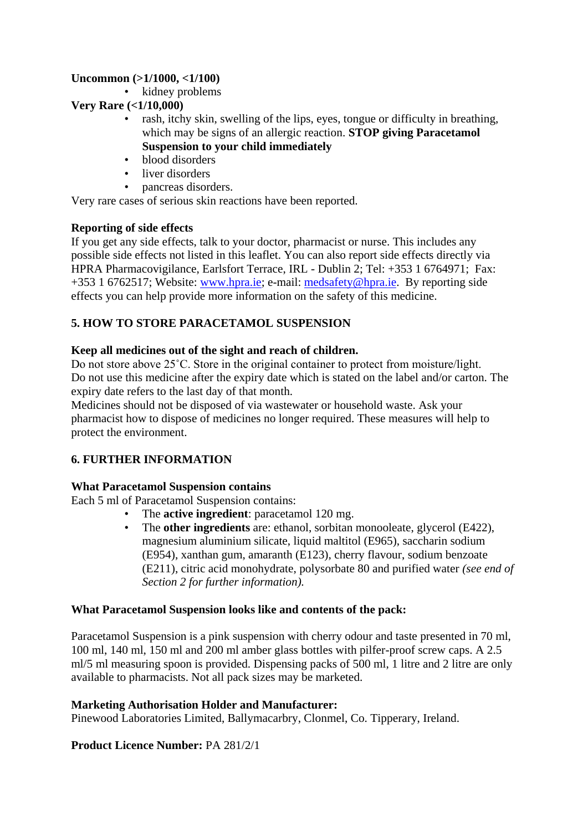### **Uncommon (>1/1000, <1/100)**

• kidney problems

## **Very Rare (<1/10,000)**

- rash, itchy skin, swelling of the lips, eyes, tongue or difficulty in breathing, which may be signs of an allergic reaction. **STOP giving Paracetamol Suspension to your child immediately**
- blood disorders
- liver disorders
- pancreas disorders.

Very rare cases of serious skin reactions have been reported.

## **Reporting of side effects**

If you get any side effects, talk to your doctor, pharmacist or nurse. This includes any possible side effects not listed in this leaflet. You can also report side effects directly via HPRA Pharmacovigilance, Earlsfort Terrace, IRL - Dublin 2; Tel: +353 1 6764971; Fax: +353 1 6762517; Website: [www.hpra.ie;](http://www.hpra.ie/) e-mail: [medsafety@hpra.ie.](mailto:medsafety@hpra.ie) By reporting side effects you can help provide more information on the safety of this medicine.

# **5. HOW TO STORE PARACETAMOL SUSPENSION**

## **Keep all medicines out of the sight and reach of children.**

Do not store above 25˚C. Store in the original container to protect from moisture/light. Do not use this medicine after the expiry date which is stated on the label and/or carton. The expiry date refers to the last day of that month.

Medicines should not be disposed of via wastewater or household waste. Ask your pharmacist how to dispose of medicines no longer required. These measures will help to protect the environment.

# **6. FURTHER INFORMATION**

### **What Paracetamol Suspension contains**

Each 5 ml of Paracetamol Suspension contains:

- The **active ingredient**: paracetamol 120 mg.
	- The **other ingredients** are: ethanol, sorbitan monooleate, glycerol (E422), magnesium aluminium silicate, liquid maltitol (E965), saccharin sodium (E954), xanthan gum, amaranth (E123), cherry flavour, sodium benzoate (E211), citric acid monohydrate, polysorbate 80 and purified water *(see end of Section 2 for further information).*

### **What Paracetamol Suspension looks like and contents of the pack:**

Paracetamol Suspension is a pink suspension with cherry odour and taste presented in 70 ml, 100 ml, 140 ml, 150 ml and 200 ml amber glass bottles with pilfer-proof screw caps. A 2.5 ml/5 ml measuring spoon is provided. Dispensing packs of 500 ml, 1 litre and 2 litre are only available to pharmacists. Not all pack sizes may be marketed.

### **Marketing Authorisation Holder and Manufacturer:**

Pinewood Laboratories Limited, Ballymacarbry, Clonmel, Co. Tipperary, Ireland.

# **Product Licence Number:** PA 281/2/1